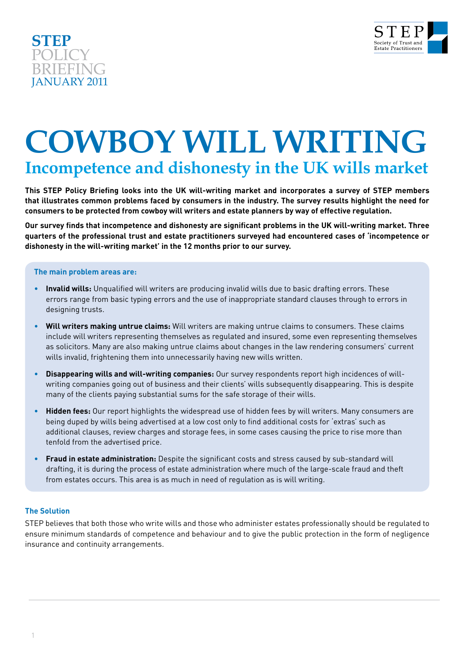



# **COWBOY WILL WRITING Incompetence and dishonesty in the UK wills market**

**This STEP Policy Briefing looks into the UK will-writing market and incorporates a survey of STEP members that illustrates common problems faced by consumers in the industry. The survey results highlight the need for consumers to be protected from cowboy will writers and estate planners by way of effective regulation.**

**Our survey finds that incompetence and dishonesty are significant problems in the UK will-writing market. Three quarters of the professional trust and estate practitioners surveyed had encountered cases of 'incompetence or dishonesty in the will-writing market' in the 12 months prior to our survey.**

#### **The main problem areas are:**

- **Invalid wills:** Unqualified will writers are producing invalid wills due to basic drafting errors. These errors range from basic typing errors and the use of inappropriate standard clauses through to errors in designing trusts.
- **Will writers making untrue claims:** Will writers are making untrue claims to consumers. These claims include will writers representing themselves as regulated and insured, some even representing themselves as solicitors. Many are also making untrue claims about changes in the law rendering consumers' current wills invalid, frightening them into unnecessarily having new wills written.
- **Disappearing wills and will-writing companies:** Our survey respondents report high incidences of willwriting companies going out of business and their clients' wills subsequently disappearing. This is despite many of the clients paying substantial sums for the safe storage of their wills.
- **Hidden fees:** Our report highlights the widespread use of hidden fees by will writers. Many consumers are being duped by wills being advertised at a low cost only to find additional costs for 'extras' such as additional clauses, review charges and storage fees, in some cases causing the price to rise more than tenfold from the advertised price.
- **Fraud in estate administration:** Despite the significant costs and stress caused by sub-standard will drafting, it is during the process of estate administration where much of the large-scale fraud and theft from estates occurs. This area is as much in need of regulation as is will writing.

#### **The Solution**

STEP believes that both those who write wills and those who administer estates professionally should be regulated to ensure minimum standards of competence and behaviour and to give the public protection in the form of negligence insurance and continuity arrangements.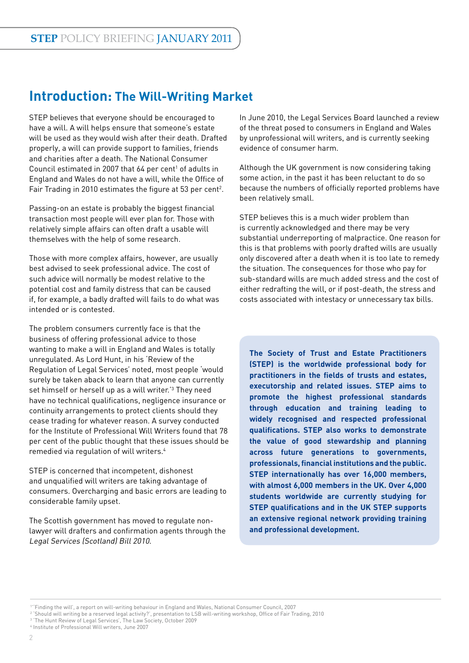## **Introduction: The Will-Writing Market**

STEP believes that everyone should be encouraged to have a will. A will helps ensure that someone's estate will be used as they would wish after their death. Drafted properly, a will can provide support to families, friends and charities after a death. The National Consumer Council estimated in 2007 that  $64$  per cent<sup>1</sup> of adults in England and Wales do not have a will, while the Office of Fair Trading in 2010 estimates the figure at 53 per cent<sup>2</sup>.

Passing-on an estate is probably the biggest financial transaction most people will ever plan for. Those with relatively simple affairs can often draft a usable will themselves with the help of some research.

Those with more complex affairs, however, are usually best advised to seek professional advice. The cost of such advice will normally be modest relative to the potential cost and family distress that can be caused if, for example, a badly drafted will fails to do what was intended or is contested.

The problem consumers currently face is that the business of offering professional advice to those wanting to make a will in England and Wales is totally unregulated. As Lord Hunt, in his 'Review of the Regulation of Legal Services' noted, most people 'would surely be taken aback to learn that anyone can currently set himself or herself up as a will writer.'3 They need have no technical qualifications, negligence insurance or continuity arrangements to protect clients should they cease trading for whatever reason. A survey conducted for the Institute of Professional Will Writers found that 78 per cent of the public thought that these issues should be remedied via regulation of will writers.4

STEP is concerned that incompetent, dishonest and unqualified will writers are taking advantage of consumers. Overcharging and basic errors are leading to considerable family upset.

The Scottish government has moved to regulate nonlawyer will drafters and confirmation agents through the Legal Services (Scotland) Bill 2010.

In June 2010, the Legal Services Board launched a review of the threat posed to consumers in England and Wales by unprofessional will writers, and is currently seeking evidence of consumer harm.

Although the UK government is now considering taking some action, in the past it has been reluctant to do so because the numbers of officially reported problems have been relatively small.

STEP believes this is a much wider problem than is currently acknowledged and there may be very substantial underreporting of malpractice. One reason for this is that problems with poorly drafted wills are usually only discovered after a death when it is too late to remedy the situation. The consequences for those who pay for sub-standard wills are much added stress and the cost of either redrafting the will, or if post-death, the stress and costs associated with intestacy or unnecessary tax bills.

**The Society of Trust and Estate Practitioners (STEP) is the worldwide professional body for practitioners in the fields of trusts and estates, executorship and related issues. STEP aims to promote the highest professional standards through education and training leading to widely recognised and respected professional qualifications. STEP also works to demonstrate the value of good stewardship and planning across future generations to governments, professionals, financial institutions and the public. STEP internationally has over 16,000 members, with almost 6,000 members in the UK. Over 4,000 students worldwide are currently studying for STEP qualifications and in the UK STEP supports an extensive regional network providing training and professional development.**

<sup>1</sup> ''Finding the will', a report on will-writing behaviour in England and Wales, National Consumer Council, 2007

<sup>2</sup> 'Should will writing be a reserved legal activity?', presentation to LSB will-writing workshop, Office of Fair Trading, 2010

<sup>3</sup> 'The Hunt Review of Legal Services', The Law Society, October 2009

<sup>4</sup> Institute of Professional Will writers, June 2007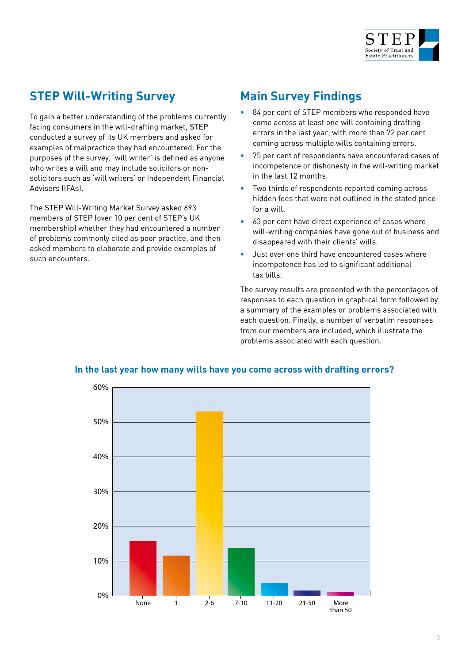

### **STEP Will-Writing Survey**

To gain a better understanding of the problems currently facing consumers in the will-drafting market, STEP conducted a survey of its UK members and asked for examples of malpractice they had encountered. For the purposes of the survey, 'will writer' is defined as anyone who writes a will and may include solicitors or nonsolicitors such as 'will writers' or Independent Financial Advisers (IFAs).

The STEP Will-Writing Market Survey asked 693 members of STEP (over 10 per cent of STEP's UK membership) whether they had encountered a number of problems commonly cited as poor practice, and then asked members to elaborate and provide examples of such encounters.

### **Main Survey Findings**

- 84 per cent of STEP members who responded have come across at least one will containing drafting errors in the last year, with more than 72 per cent coming across multiple wills containing errors.
- 75 per cent of respondents have encountered cases of incompetence or dishonesty in the will-writing market in the last 12 months.
- Two thirds of respondents reported coming across hidden fees that were not outlined in the stated price for a will.
- 63 per cent have direct experience of cases where will-writing companies have gone out of business and disappeared with their clients' wills.
- Just over one third have encountered cases where incompetence has led to significant additional tax bills.

The survey results are presented with the percentages of responses to each question in graphical form followed by a summary of the examples or problems associated with each question. Finally, a number of verbatim responses from our members are included, which illustrate the problems associated with each question.



#### **In the last year how many wills have you come across with drafting errors?**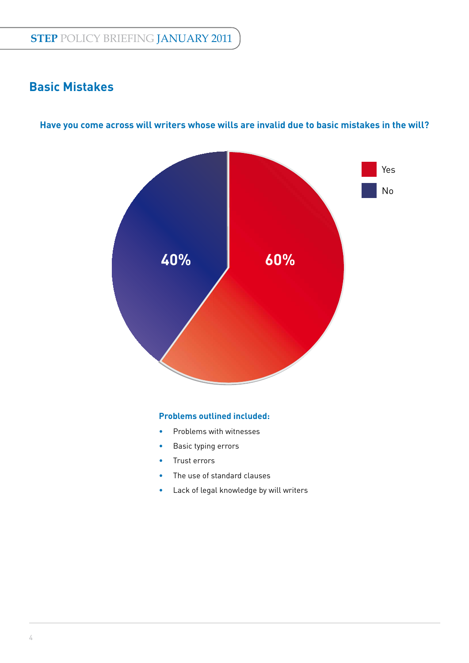### **Basic Mistakes**



#### **Have you come across will writers whose wills are invalid due to basic mistakes in the will?**

#### **Problems outlined included:**

- Problems with witnesses
- Basic typing errors
- Trust errors
- The use of standard clauses
- Lack of legal knowledge by will writers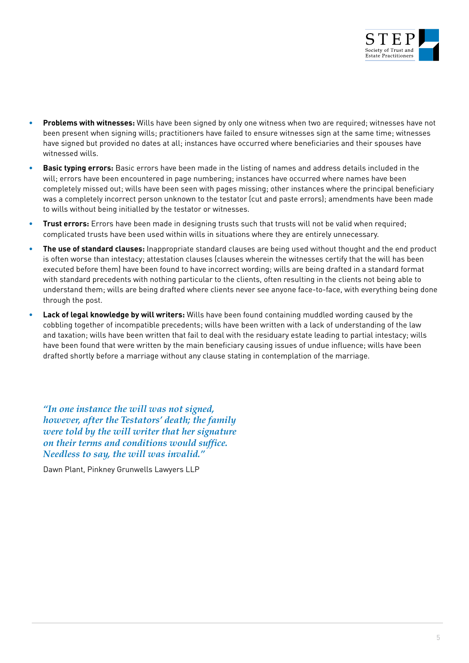

- **Problems with witnesses:** Wills have been signed by only one witness when two are required; witnesses have not been present when signing wills; practitioners have failed to ensure witnesses sign at the same time; witnesses have signed but provided no dates at all; instances have occurred where beneficiaries and their spouses have witnessed wills.
- **Basic typing errors:** Basic errors have been made in the listing of names and address details included in the will; errors have been encountered in page numbering; instances have occurred where names have been completely missed out; wills have been seen with pages missing; other instances where the principal beneficiary was a completely incorrect person unknown to the testator (cut and paste errors); amendments have been made to wills without being initialled by the testator or witnesses.
- **Trust errors:** Errors have been made in designing trusts such that trusts will not be valid when required; complicated trusts have been used within wills in situations where they are entirely unnecessary.
- **The use of standard clauses:** Inappropriate standard clauses are being used without thought and the end product is often worse than intestacy; attestation clauses (clauses wherein the witnesses certify that the will has been executed before them) have been found to have incorrect wording; wills are being drafted in a standard format with standard precedents with nothing particular to the clients, often resulting in the clients not being able to understand them; wills are being drafted where clients never see anyone face-to-face, with everything being done through the post.
- **Lack of legal knowledge by will writers:** Wills have been found containing muddled wording caused by the cobbling together of incompatible precedents; wills have been written with a lack of understanding of the law and taxation; wills have been written that fail to deal with the residuary estate leading to partial intestacy; wills have been found that were written by the main beneficiary causing issues of undue influence; wills have been drafted shortly before a marriage without any clause stating in contemplation of the marriage.

*"In one instance the will was not signed, however, after the Testators' death; the family were told by the will writer that her signature on their terms and conditions would suffice. Needless to say, the will was invalid."*

Dawn Plant, Pinkney Grunwells Lawyers LLP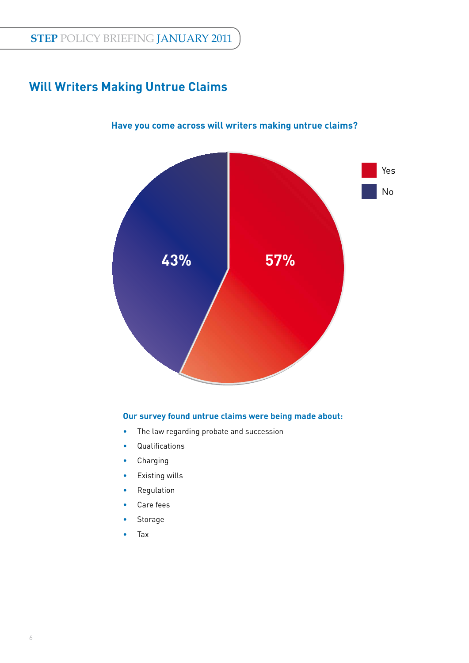### **Will Writers Making Untrue Claims**



#### **Have you come across will writers making untrue claims?**

#### **Our survey found untrue claims were being made about:**

- The law regarding probate and succession
- Qualifications
- Charging
- Existing wills
- Regulation
- Care fees
- Storage
- Tax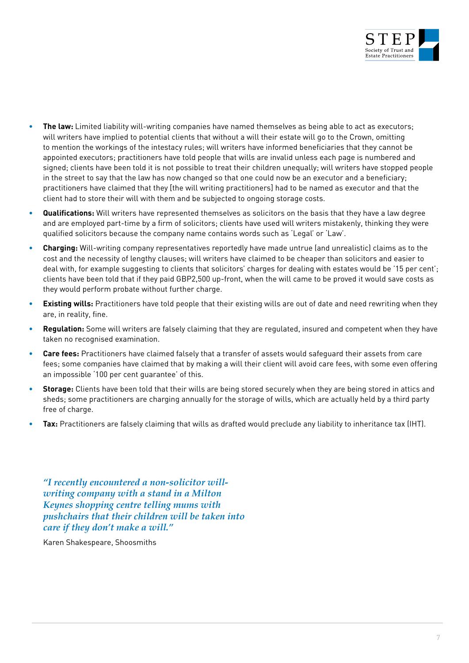

- **The law:** Limited liability will-writing companies have named themselves as being able to act as executors; will writers have implied to potential clients that without a will their estate will go to the Crown, omitting to mention the workings of the intestacy rules; will writers have informed beneficiaries that they cannot be appointed executors; practitioners have told people that wills are invalid unless each page is numbered and signed; clients have been told it is not possible to treat their children unequally; will writers have stopped people in the street to say that the law has now changed so that one could now be an executor and a beneficiary; practitioners have claimed that they [the will writing practitioners] had to be named as executor and that the client had to store their will with them and be subjected to ongoing storage costs.
- **Qualifications:** Will writers have represented themselves as solicitors on the basis that they have a law degree and are employed part-time by a firm of solicitors; clients have used will writers mistakenly, thinking they were qualified solicitors because the company name contains words such as 'Legal' or 'Law'.
- **Charging:** Will-writing company representatives reportedly have made untrue (and unrealistic) claims as to the cost and the necessity of lengthy clauses; will writers have claimed to be cheaper than solicitors and easier to deal with, for example suggesting to clients that solicitors' charges for dealing with estates would be '15 per cent'; clients have been told that if they paid GBP2,500 up-front, when the will came to be proved it would save costs as they would perform probate without further charge.
- **Existing wills:** Practitioners have told people that their existing wills are out of date and need rewriting when they are, in reality, fine.
- **Regulation:** Some will writers are falsely claiming that they are regulated, insured and competent when they have taken no recognised examination.
- **Care fees:** Practitioners have claimed falsely that a transfer of assets would safeguard their assets from care fees; some companies have claimed that by making a will their client will avoid care fees, with some even offering an impossible '100 per cent guarantee' of this.
- **Storage:** Clients have been told that their wills are being stored securely when they are being stored in attics and sheds; some practitioners are charging annually for the storage of wills, which are actually held by a third party free of charge.
- **Tax:** Practitioners are falsely claiming that wills as drafted would preclude any liability to inheritance tax (IHT).

*"I recently encountered a non-solicitor willwriting company with a stand in a Milton Keynes shopping centre telling mums with pushchairs that their children will be taken into care if they don't make a will."*

Karen Shakespeare, Shoosmiths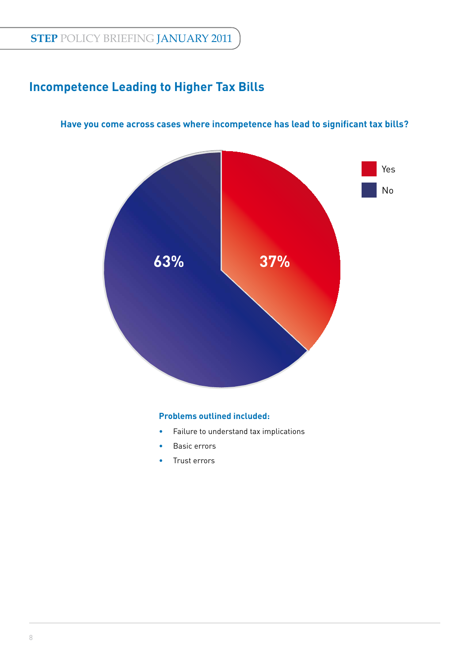### **Incompetence Leading to Higher Tax Bills**



#### Have you come across cases where incompetence has lead to significant tax bills?

#### **Problems outlined included:**

- Failure to understand tax implications
- Basic errors
- Trust errors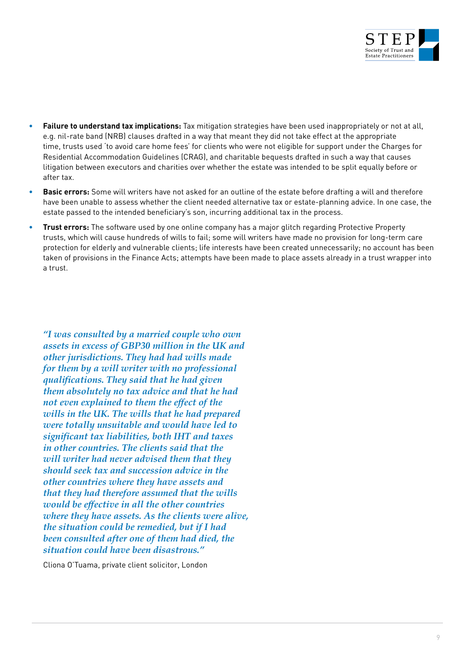

- **Failure to understand tax implications:** Tax mitigation strategies have been used inappropriately or not at all, e.g. nil-rate band (NRB) clauses drafted in a way that meant they did not take effect at the appropriate time, trusts used 'to avoid care home fees' for clients who were not eligible for support under the Charges for Residential Accommodation Guidelines (CRAG), and charitable bequests drafted in such a way that causes litigation between executors and charities over whether the estate was intended to be split equally before or after tax.
- **Basic errors:** Some will writers have not asked for an outline of the estate before drafting a will and therefore have been unable to assess whether the client needed alternative tax or estate-planning advice. In one case, the estate passed to the intended beneficiary's son, incurring additional tax in the process.
- **Trust errors:** The software used by one online company has a major glitch regarding Protective Property trusts, which will cause hundreds of wills to fail; some will writers have made no provision for long-term care protection for elderly and vulnerable clients; life interests have been created unnecessarily; no account has been taken of provisions in the Finance Acts; attempts have been made to place assets already in a trust wrapper into a trust.

*"I was consulted by a married couple who own assets in excess of GBP30 million in the UK and other jurisdictions. They had had wills made for them by a will writer with no professional qualifications. They said that he had given them absolutely no tax advice and that he had not even explained to them the effect of the wills in the UK. The wills that he had prepared were totally unsuitable and would have led to significant tax liabilities, both IHT and taxes in other countries. The clients said that the will writer had never advised them that they should seek tax and succession advice in the other countries where they have assets and that they had therefore assumed that the wills would be effective in all the other countries where they have assets. As the clients were alive, the situation could be remedied, but if I had been consulted after one of them had died, the situation could have been disastrous."*

Cliona O'Tuama, private client solicitor, London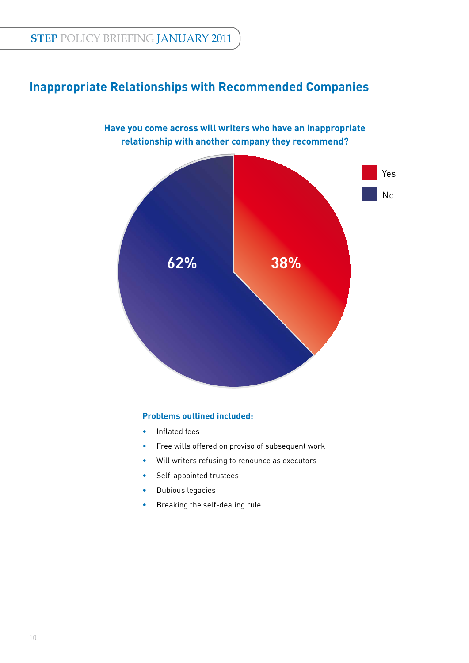### **Inappropriate Relationships with Recommended Companies**



#### **Problems outlined included:**

- Inflated fees
- Free wills offered on proviso of subsequent work
- Will writers refusing to renounce as executors
- Self-appointed trustees
- Dubious legacies
- Breaking the self-dealing rule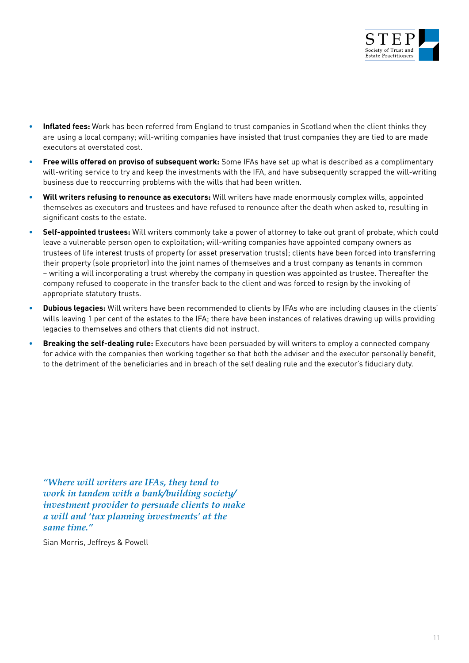

- **Inflated fees:** Work has been referred from England to trust companies in Scotland when the client thinks they are using a local company; will-writing companies have insisted that trust companies they are tied to are made executors at overstated cost.
- **Free wills offered on proviso of subsequent work:** Some IFAs have set up what is described as a complimentary will-writing service to try and keep the investments with the IFA, and have subsequently scrapped the will-writing business due to reoccurring problems with the wills that had been written.
- **Will writers refusing to renounce as executors:** Will writers have made enormously complex wills, appointed themselves as executors and trustees and have refused to renounce after the death when asked to, resulting in significant costs to the estate.
- **Self-appointed trustees:** Will writers commonly take a power of attorney to take out grant of probate, which could leave a vulnerable person open to exploitation; will-writing companies have appointed company owners as trustees of life interest trusts of property (or asset preservation trusts); clients have been forced into transferring their property (sole proprietor) into the joint names of themselves and a trust company as tenants in common – writing a will incorporating a trust whereby the company in question was appointed as trustee. Thereafter the company refused to cooperate in the transfer back to the client and was forced to resign by the invoking of appropriate statutory trusts.
- **Dubious legacies:** Will writers have been recommended to clients by IFAs who are including clauses in the clients' wills leaving 1 per cent of the estates to the IFA; there have been instances of relatives drawing up wills providing legacies to themselves and others that clients did not instruct.
- **Breaking the self-dealing rule:** Executors have been persuaded by will writers to employ a connected company for advice with the companies then working together so that both the adviser and the executor personally benefit, to the detriment of the beneficiaries and in breach of the self dealing rule and the executor's fiduciary duty.

*"Where will writers are IFAs, they tend to work in tandem with a bank/building society/ investment provider to persuade clients to make a will and 'tax planning investments' at the same time."*

Sian Morris, Jeffreys & Powell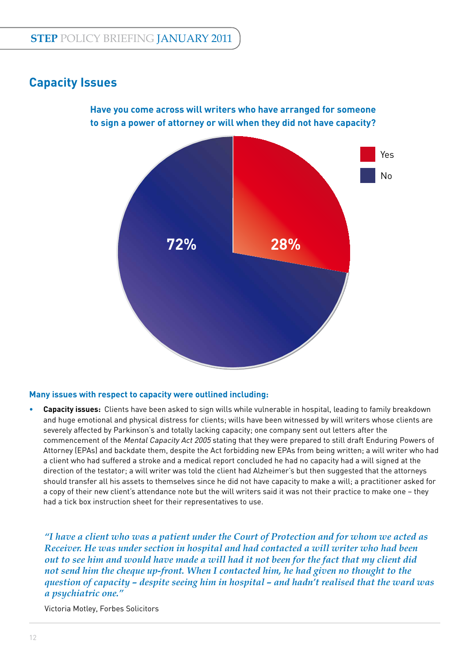### **Capacity Issues**





#### **Many issues with respect to capacity were outlined including:**

• **Capacity issues:** Clients have been asked to sign wills while vulnerable in hospital, leading to family breakdown and huge emotional and physical distress for clients; wills have been witnessed by will writers whose clients are severely affected by Parkinson's and totally lacking capacity; one company sent out letters after the commencement of the Mental Capacity Act 2005 stating that they were prepared to still draft Enduring Powers of Attorney (EPAs) and backdate them, despite the Act forbidding new EPAs from being written; a will writer who had a client who had suffered a stroke and a medical report concluded he had no capacity had a will signed at the direction of the testator; a will writer was told the client had Alzheimer's but then suggested that the attorneys should transfer all his assets to themselves since he did not have capacity to make a will; a practitioner asked for a copy of their new client's attendance note but the will writers said it was not their practice to make one – they had a tick box instruction sheet for their representatives to use.

*"I have a client who was a patient under the Court of Protection and for whom we acted as Receiver. He was under section in hospital and had contacted a will writer who had been out to see him and would have made a will had it not been for the fact that my client did not send him the cheque up-front. When I contacted him, he had given no thought to the question of capacity – despite seeing him in hospital – and hadn't realised that the ward was a psychiatric one."*

Victoria Motley, Forbes Solicitors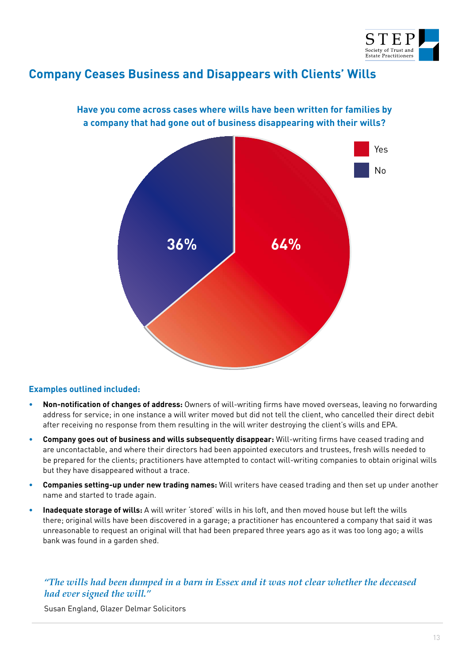

### **Company Ceases Business and Disappears with Clients' Wills**



#### **Have you come across cases where wills have been written for families by a company that had gone out of business disappearing with their wills?**

#### **Examples outlined included:**

- Non-notification of changes of address: Owners of will-writing firms have moved overseas, leaving no forwarding address for service; in one instance a will writer moved but did not tell the client, who cancelled their direct debit after receiving no response from them resulting in the will writer destroying the client's wills and EPA.
- **Company goes out of business and wills subsequently disappear:** Will-writing firms have ceased trading and are uncontactable, and where their directors had been appointed executors and trustees, fresh wills needed to be prepared for the clients; practitioners have attempted to contact will-writing companies to obtain original wills but they have disappeared without a trace.
- **Companies setting-up under new trading names:** Will writers have ceased trading and then set up under another name and started to trade again.
- **Inadequate storage of wills:** A will writer 'stored' wills in his loft, and then moved house but left the wills there; original wills have been discovered in a garage; a practitioner has encountered a company that said it was unreasonable to request an original will that had been prepared three years ago as it was too long ago; a wills bank was found in a garden shed.

#### *"The wills had been dumped in a barn in Essex and it was not clear whether the deceased had ever signed the will."*

Susan England, Glazer Delmar Solicitors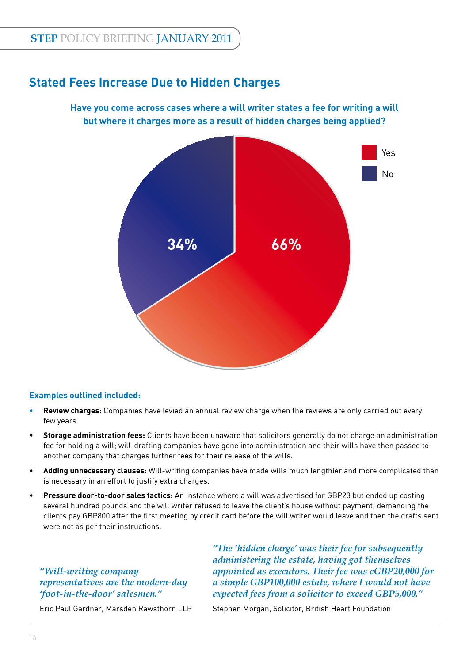### **Stated Fees Increase Due to Hidden Charges**

#### **Have you come across cases where a will writer states a fee for writing a will but where it charges more as a result of hidden charges being applied?**



#### **Examples outlined included:**

- **Review charges:** Companies have levied an annual review charge when the reviews are only carried out every few years.
- **Storage administration fees:** Clients have been unaware that solicitors generally do not charge an administration fee for holding a will; will-drafting companies have gone into administration and their wills have then passed to another company that charges further fees for their release of the wills.
- **Adding unnecessary clauses:** Will-writing companies have made wills much lengthier and more complicated than is necessary in an effort to justify extra charges.
- **Pressure door-to-door sales tactics:** An instance where a will was advertised for GBP23 but ended up costing several hundred pounds and the will writer refused to leave the client's house without payment, demanding the clients pay GBP800 after the first meeting by credit card before the will writer would leave and then the drafts sent were not as per their instructions.

#### *"Will-writing company representatives are the modern-day 'foot-in-the-door' salesmen."*

*"The 'hidden charge' was their fee for subsequently administering the estate, having got themselves appointed as executors. Their fee was cGBP20,000 for a simple GBP100,000 estate, where I would not have expected fees from a solicitor to exceed GBP5,000."*

Eric Paul Gardner, Marsden Rawsthorn LLP

Stephen Morgan, Solicitor, British Heart Foundation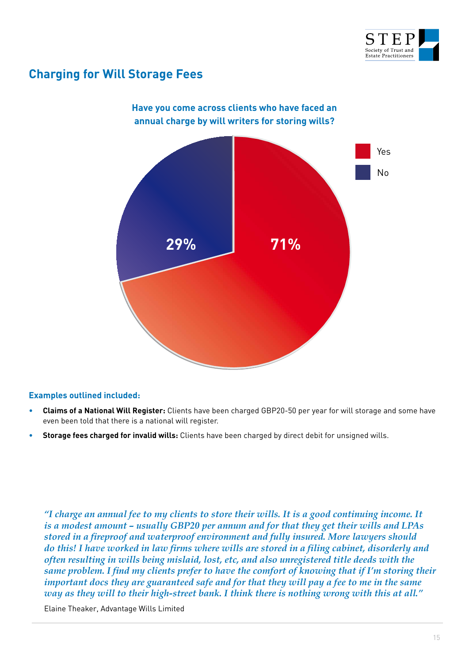

### **Charging for Will Storage Fees**



#### **Examples outlined included:**

- **Claims of a National Will Register:** Clients have been charged GBP20-50 per year for will storage and some have even been told that there is a national will register.
- **Storage fees charged for invalid wills:** Clients have been charged by direct debit for unsigned wills.

*"I charge an annual fee to my clients to store their wills. It is a good continuing income. It is a modest amount – usually GBP20 per annum and for that they get their wills and LPAs stored in a fi reproof and waterproof environment and fully insured. More lawyers should*  do this! I have worked in law firms where wills are stored in a filing cabinet, disorderly and *often resulting in wills being mislaid, lost, etc, and also unregistered title deeds with the same problem. I find my clients prefer to have the comfort of knowing that if I'm storing their important docs they are guaranteed safe and for that they will pay a fee to me in the same way as they will to their high-street bank. I think there is nothing wrong with this at all."*

Elaine Theaker, Advantage Wills Limited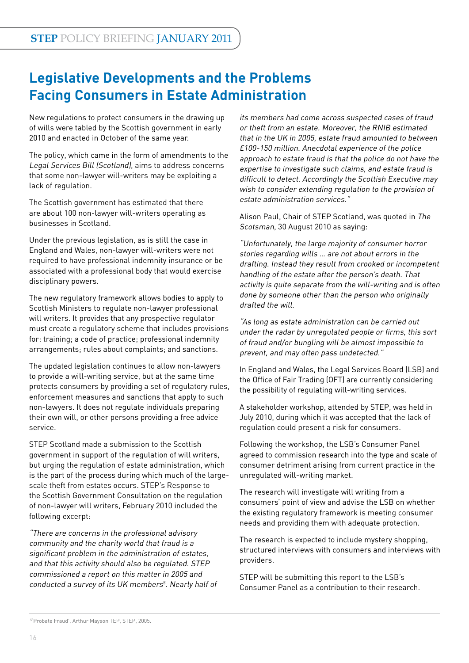# **Legislative Developments and the Problems Facing Consumers in Estate Administration**

New regulations to protect consumers in the drawing up of wills were tabled by the Scottish government in early 2010 and enacted in October of the same year.

The policy, which came in the form of amendments to the Legal Services Bill (Scotland), aims to address concerns that some non-lawyer will-writers may be exploiting a lack of regulation.

The Scottish government has estimated that there are about 100 non-lawyer will-writers operating as businesses in Scotland.

Under the previous legislation, as is still the case in England and Wales, non-lawyer will-writers were not required to have professional indemnity insurance or be associated with a professional body that would exercise disciplinary powers.

The new regulatory framework allows bodies to apply to Scottish Ministers to regulate non-lawyer professional will writers. It provides that any prospective regulator must create a regulatory scheme that includes provisions for: training; a code of practice; professional indemnity arrangements; rules about complaints; and sanctions.

The updated legislation continues to allow non-lawyers to provide a will-writing service, but at the same time protects consumers by providing a set of regulatory rules, enforcement measures and sanctions that apply to such non-lawyers. It does not regulate individuals preparing their own will, or other persons providing a free advice service.

STEP Scotland made a submission to the Scottish government in support of the regulation of will writers, but urging the regulation of estate administration, which is the part of the process during which much of the largescale theft from estates occurs. STEP's Response to the Scottish Government Consultation on the regulation of non-lawyer will writers, February 2010 included the following excerpt:

"There are concerns in the professional advisory community and the charity world that fraud is a significant problem in the administration of estates, and that this activity should also be regulated. STEP commissioned a report on this matter in 2005 and conducted a survey of its UK members<sup>5</sup>. Nearly half of its members had come across suspected cases of fraud or theft from an estate. Moreover, the RNIB estimated that in the UK in 2005, estate fraud amounted to between £100-150 million. Anecdotal experience of the police approach to estate fraud is that the police do not have the expertise to investigate such claims, and estate fraud is difficult to detect. Accordingly the Scottish Executive may wish to consider extending regulation to the provision of estate administration services."

Alison Paul, Chair of STEP Scotland, was quoted in The Scotsman, 30 August 2010 as saying:

"Unfortunately, the large majority of consumer horror stories regarding wills … are not about errors in the drafting. Instead they result from crooked or incompetent handling of the estate after the person's death. That activity is quite separate from the will-writing and is often done by someone other than the person who originally drafted the will.

"As long as estate administration can be carried out under the radar by unregulated people or firms, this sort of fraud and/or bungling will be almost impossible to prevent, and may often pass undetected."

In England and Wales, the Legal Services Board (LSB) and the Office of Fair Trading (OFT) are currently considering the possibility of regulating will-writing services.

A stakeholder workshop, attended by STEP, was held in July 2010, during which it was accepted that the lack of regulation could present a risk for consumers.

Following the workshop, the LSB's Consumer Panel agreed to commission research into the type and scale of consumer detriment arising from current practice in the unregulated will-writing market.

The research will investigate will writing from a consumers' point of view and advise the LSB on whether the existing regulatory framework is meeting consumer needs and providing them with adequate protection.

The research is expected to include mystery shopping, structured interviews with consumers and interviews with providers.

STEP will be submitting this report to the LSB's Consumer Panel as a contribution to their research.

<sup>5</sup> 'Probate Fraud', Arthur Mayson TEP, STEP, 2005.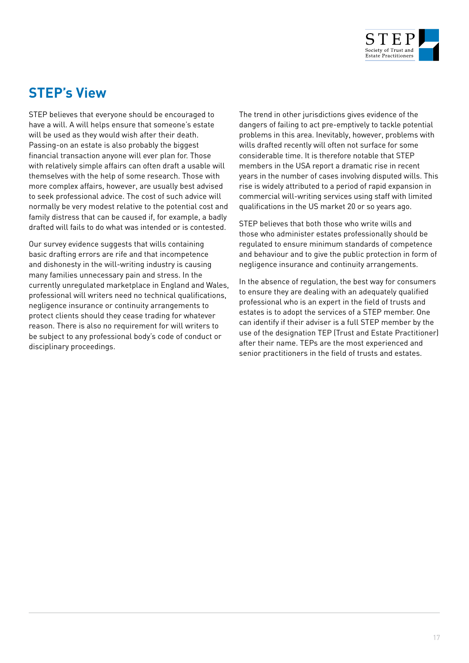

# **STEP's View**

STEP believes that everyone should be encouraged to have a will. A will helps ensure that someone's estate will be used as they would wish after their death. Passing-on an estate is also probably the biggest financial transaction anyone will ever plan for. Those with relatively simple affairs can often draft a usable will themselves with the help of some research. Those with more complex affairs, however, are usually best advised to seek professional advice. The cost of such advice will normally be very modest relative to the potential cost and family distress that can be caused if, for example, a badly drafted will fails to do what was intended or is contested.

Our survey evidence suggests that wills containing basic drafting errors are rife and that incompetence and dishonesty in the will-writing industry is causing many families unnecessary pain and stress. In the currently unregulated marketplace in England and Wales, professional will writers need no technical qualifications, negligence insurance or continuity arrangements to protect clients should they cease trading for whatever reason. There is also no requirement for will writers to be subject to any professional body's code of conduct or disciplinary proceedings.

The trend in other jurisdictions gives evidence of the dangers of failing to act pre-emptively to tackle potential problems in this area. Inevitably, however, problems with wills drafted recently will often not surface for some considerable time. It is therefore notable that STEP members in the USA report a dramatic rise in recent years in the number of cases involving disputed wills. This rise is widely attributed to a period of rapid expansion in commercial will-writing services using staff with limited qualifications in the US market 20 or so years ago.

STEP believes that both those who write wills and those who administer estates professionally should be regulated to ensure minimum standards of competence and behaviour and to give the public protection in form of negligence insurance and continuity arrangements.

In the absence of regulation, the best way for consumers to ensure they are dealing with an adequately qualified professional who is an expert in the field of trusts and estates is to adopt the services of a STEP member. One can identify if their adviser is a full STEP member by the use of the designation TEP (Trust and Estate Practitioner) after their name. TEPs are the most experienced and senior practitioners in the field of trusts and estates.